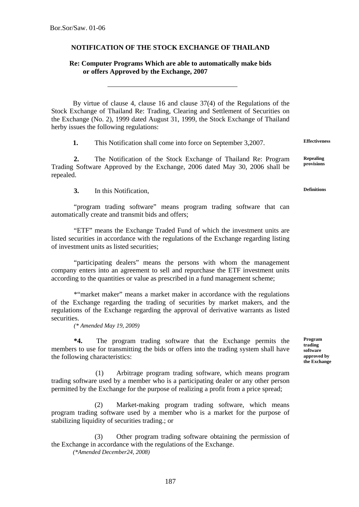## **NOTIFICATION OF THE STOCK EXCHANGE OF THAILAND**

## **Re: Computer Programs Which are able to automatically make bids or offers Approved by the Exchange, 2007**

By virtue of clause 4, clause 16 and clause 37(4) of the Regulations of the Stock Exchange of Thailand Re: Trading, Clearing and Settlement of Securities on the Exchange (No. 2), 1999 dated August 31, 1999, the Stock Exchange of Thailand herby issues the following regulations:

**1.** This Notification shall come into force on September 3,2007. **Effectiveness**

**2.** The Notification of the Stock Exchange of Thailand Re: Program Trading Software Approved by the Exchange, 2006 dated May 30, 2006 shall be repealed.

**3.** In this Notification,

"program trading software" means program trading software that can automatically create and transmit bids and offers;

"ETF" means the Exchange Traded Fund of which the investment units are listed securities in accordance with the regulations of the Exchange regarding listing of investment units as listed securities;

"participating dealers" means the persons with whom the management company enters into an agreement to sell and repurchase the ETF investment units according to the quantities or value as prescribed in a fund management scheme;

\*"market maker" means a market maker in accordance with the regulations of the Exchange regarding the trading of securities by market makers, and the regulations of the Exchange regarding the approval of derivative warrants as listed securities.

*(\* Amended May 19, 2009)* 

**\*4.** The program trading software that the Exchange permits the members to use for transmitting the bids or offers into the trading system shall have the following characteristics:

(1) Arbitrage program trading software, which means program trading software used by a member who is a participating dealer or any other person permitted by the Exchange for the purpose of realizing a profit from a price spread;

(2) Market-making program trading software, which means program trading software used by a member who is a market for the purpose of stabilizing liquidity of securities trading.; or

(3) Other program trading software obtaining the permission of the Exchange in accordance with the regulations of the Exchange.

*(\*Amended December24, 2008)* 

**Program trading software approved by the Exchange**

**Repealing provisions**

**Definitions**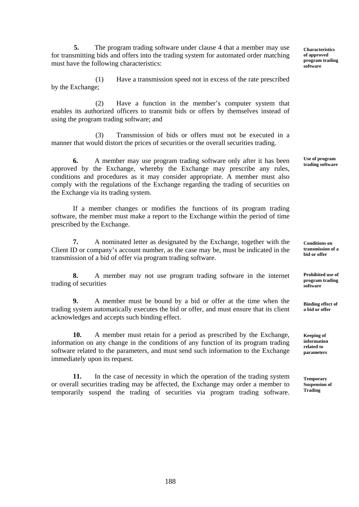**5.** The program trading software under clause 4 that a member may use for transmitting bids and offers into the trading system for automated order matching must have the following characteristics:

(1) Have a transmission speed not in excess of the rate prescribed by the Exchange;

(2) Have a function in the member's computer system that enables its authorized officers to transmit bids or offers by themselves instead of using the program trading software; and

(3) Transmission of bids or offers must not be executed in a manner that would distort the prices of securities or the overall securities trading.

**6.** A member may use program trading software only after it has been approved by the Exchange, whereby the Exchange may prescribe any rules, conditions and procedures as it may consider appropriate. A member must also comply with the regulations of the Exchange regarding the trading of securities on the Exchange via its trading system.

If a member changes or modifies the functions of its program trading software, the member must make a report to the Exchange within the period of time prescribed by the Exchange.

**7.** A nominated letter as designated by the Exchange, together with the Client ID or company's account number, as the case may be, must be indicated in the transmission of a bid of offer via program trading software.

**8.** A member may not use program trading software in the internet trading of securities

**9.** A member must be bound by a bid or offer at the time when the trading system automatically executes the bid or offer, and must ensure that its client acknowledges and accepts such binding effect.

**10.** A member must retain for a period as prescribed by the Exchange, information on any change in the conditions of any function of its program trading software related to the parameters, and must send such information to the Exchange immediately upon its request.

**11.** In the case of necessity in which the operation of the trading system or overall securities trading may be affected, the Exchange may order a member to temporarily suspend the trading of securities via program trading software. **Characteristics of approved program trading software**

**Use of program trading software**

**Conditions on transmission of a bid or offer**

**Prohibited use of program trading software**

**Binding effect of a bid or offer**

**Keeping of information related to parameters**

**Temporary Suspension of Trading**